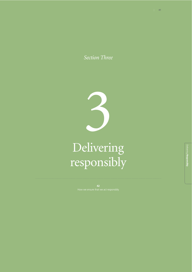*Section Three*



# Delivering responsibly

**42**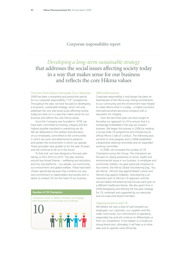## Corporate responsibility report

*Developing a long-term sustainable strategy* that addresses the social issues affecting society today in a way that makes sense for our business and reflects the core Hikma values

#### Overview from Mazen Darwazah, Vice-Chairman

2009 has been a rewarding and productive period for our corporate responsibility ("CR") programme. Throughout the year, we have focused on developing a long-term, sustainable strategy, which not only addresses the very real social issues affecting society today but does so in a way that makes sense for our business and reflects the core Hikma values.

Since the Company was founded in 1978, we have been committed to honesty, integrity and the highest possible standards in everything we do. We are dedicated to the welfare and education of our employees, committed to the communities in which we work and determined to preserve and protect the environment in which we operate. These principles have guided us for the past 30 years and will continue to do so in the future.

To that end, we have designed a five-year plan taking us from 2010 to 2015. The plan revolves around two broad themes – wellbeing and education, and four key platforms – our people, our community, our environment and global welfare. These have been chosen specifically because they combine our very real commitment to stakeholders and society with a desire to embed CR into the heart of our business.

## **Number of CR Champions**

Champions work to deliver initiatives and engage with employees to encourage and motivate



#### 2009 achievements

Corporate responsibility is and always has been an essential part of the Hikma way. Strong commitments to our community and the environment have helped to make Hikma what it is today – a highly successful international pharmaceutical company with a reputation for integrity.

Over the last three years we have sought to formalise our approach to CR to ensure that it is increasingly embedded in the way we conduct business. We began this process in 2006 by creating a Group-wide CR programme and introducing an official Hikma Code of Conduct. The following year, we built on that progress and in 2008 established a Board-level steering committee and an expanded working committee.

In 2009, we increased the number of CR Champions across the Group. The champions are focused on raising awareness of social, health and environmental issues in our business. In employee and community matters, we gave particular emphasis to four events: the Hikma Global Volunteering Day, 'You are Hikma', Hikma's Day against Breast Cancer and Hikma's Day against Diabetes. Volunteering is an important part of Hikma's CR approach and the annual Global Volunteering Day focuses each year on a different healthcare theme. We also spent time in 2009 developing and refining the five-year strategy for CR, endorsed and supported by our executive and non-executive Board members.

#### Aligning business and CR

We believe we owe a duty of care towards our employees, our customers, our suppliers and the wider community. Our commitment to operating responsibly has and will continue to differentiate us from our competitors. It has helped us to build our strong brand and, ultimately, it will help us to drive sales and to operate more efficiently.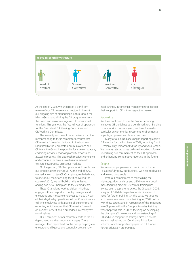

At the end of 2008, we undertook a significant review of our CR governance structure in line with our ongoing aim of embedding CR throughout the Hikma Group and driving the CR programme from the Board and senior management to operational functions. This year was the first full year of operations for the Board-level CR Steering Committee and CR Working Committee.

The seniority and breadth of experience that the members bring to these committees ensures that CR remains focused and aligned to the business. Facilitated by the Corporate Communications and CR team, the Group is responsible for agreeing strategy, endorsing activities, reviewing activity reports and assessing progress. This approach provides coherence and economies of scale as well as a framework to share best practice across our markets.

On the ground, CR Champions work to implement our strategy across the Group. At the end of 2009, we had a team of ten CR Champions, each dedicated to one of our manufacturing facilities. During the course of 2010, we will build on this initiative, adding two new Champions to the existing team.

These Champions work to deliver initiatives, engage with and report to country managers and encourage and motivate employees to make CR part of their day-to-day operations. All our Champions are full time employees with a range of experience and expertise, which ensures that CR remains focused on business benefit and is embedded in employees' working lives.

Our Champions deliver monthly reports to the CR department and their country managers. These managers then report back to the Group on progress, encouraging diligence and continuity. We are now

establishing KPIs for senior management to deepen their support for CR in their respective markets.

#### Reporting

We have continued to use the Global Reporting Initiative's G3 guidelines as a benchmark tool. Building on our work in previous years, we have focused in particular on community investment, environmental impacts, employees and labour practices.

Many of our subsidiaries began reporting against GRI metrics for the first time in 2009, including Egypt, Germany, Italy, Jordan's APM facility and Saudi Arabia. We have also started to use dedicated reporting software, underlining our commitment to the GRI approach and enhancing comparative reporting in the future.

#### People

We value our people as our most important asset. To successfully grow our business, we need to develop and reward our people.

With our commitment to maintaining the highest quality standards and cGMP (current good manufacturing practices), technical training has always been a top priority across the Group. In 2008, analysis of GRI data helped us to identify areas of need for further training. On this basis, we targeted an increase in non-technical training for 2009. In line with these targets and in recognition of the important role CR plays within the Group, a two-day training workshop was held in 2009, focusing on developing the champions' knowledge and understanding of CR and discussing future strategic aims. Of course, we also maintained our Continuing Education Scheme, which supports employees in full funded further education programmes.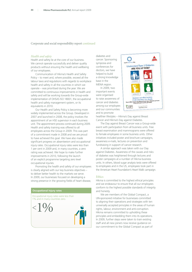Corporate and social responsibility report continued

#### *Health and safety*

Health and safety lie at the core of our business. We cannot operate successfully and deliver quality products without ensuring the health and wellbeing of our employees.

Communication of Hikma's Health and Safety Policy – to meet and, where possible, exceed all the labour laws and regulations with regards to workplace health and safety in all the countries in which we operate – was prioritised during the year. We are committed to continuous improvements in health and safety and will be working towards the Group-wide implementation of OHSAS ISO 18001, the occupational health and safety management system, or its equivalents in 2010.

Our Health and Safety Policy is becoming more widely implemented across the Group. Developed in 2007 and launched in 2008, the policy involves the appointment of an HSE supervisor in each business unit. The appointment process continued during 2009. Health and safety training was offered to all employees across the Group in 2009. This was part of a commitment made in 2008 and we are proud to have achieved this goal. We have also made significant progress on absenteeism and occupational injury rates. Occupational injury rates were less than 1 per cent in 2009 and, in many countries, a zero rating was achieved. We hope to make further improvements in 2010, following the launch of an explicit programme targeting zero level occupational injuries.

Promoting the health and safety of our employees is clearly aligned with our key business objectives – to deliver better health to the markets we serve. In 2009, our businesses focused on developing a strong presence in the growing fields of heart disease,

#### **Occupational injury rates**

Occupational injury rates were less than 1% and in many countries zero.



diabetes and cancer. Sponsoring symposia and conferences for doctors, we have helped to build a strong knowledge base in the MENA region. In 2009, two important events

were organised to raise awareness of cancer and diabetes among our employees and our communities and to promote



healthier lifestyles – Hikma's Day against Breast Cancer and Hikma's Day against Diabetes.

The Day against Breast Cancer was a Group-wide event with participation from all business units. Free breast examination and mammograms were offered to female employees in some business units. Other initiatives included poster and brochure campaigns, awareness e-mails, lectures on prevention and fundraising in support of cancer research.

A similar approach was taken with our Day against Diabetes. Awareness of the causes and risks of diabetes was heightened through lectures and poster campaigns at a number of Hikma business units. In others, blood sugar analysis tests were offered to employees and in the US, employees took part in the American Heart Foundation's Heart Walk campaign.

#### **Ethics**

Hikma is committed to the highest ethical principles and we endeavour to ensure that all our employees conform to the highest possible standards of integrity and honesty.

We are members of the Global Compact, a UN-sponsored initiative for businesses committed to aligning their operations and strategies with ten universally accepted principles in the areas of human rights, labour, environment and anti-corruption. Hikma remains committed to upholding these principles and embedding them into its operations. In 2009, further steps were taken to train existing staff and all new joiners now receive guidance on our commitment to the Global Compact as part of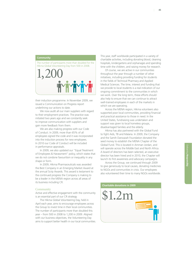#### **Community**



their induction programme. In November 2009, we issued a Communication on Progress report underlining our actions to date.

We now audit all our main suppliers with regard to their employment practices. The practice was initiated two years ago and we constantly seek to improve communication with suppliers and gain more feedback from them.

We are also making progress with our Code of Conduct. In 2009, more than 65% of all employees signed the code and it was incorporated into the induction process for new employees. In 2010 our Code of Conduct will be included in performance appraisals.

In 2009, we also updated our "Equal Treatment of Employees & Harassment" policy, which states that we do not condone favouritism or inequality in any shape or form.

In 2009, Hikma Pharmaceuticals was awarded the Best Company in an Emerging Market Award at the annual Scrip Awards. This award is testament to the continued progress the Company is making to be a leader in the MENA region across all areas of its business including CR.

#### **Community**

Active and effective engagement with the community is an essential part of our CR strategy.

The Hikma Global Volunteering Day, held in April each year, aims to encourage employees across the Group to invest time in their local communities. The number of participants more than doubled this year – from 500 in 2008 to 1,200 in 2009. Aligned with our business objectives, the Volunteering Day aims to support better health in our local communities. This year, staff worldwide participated in a variety of charitable activities, including donating blood, cleaning hospitals, kindergartens and orphanages and spending time with the children, and raising money for research.

Of course, we are active in our communities throughout the year through a number of other initiatives, including providing funding for students in the fields of Technical Pharmacy and Applied Medical Sciences. The time, interest and funding that we provide to local students is a real indication of our ongoing commitment to the communities in which we work. Over the long term, these efforts should also help to ensure that we can continue to attract well-trained employees in each of the markets in which we are operating.

Across the MENA region, Hikma volunteers also supported poor local communities, providing financial and practical assistance to those in need. In the United States, fundraising was undertaken and support was given to local homeless groups, disadvantaged families and the elderly.

Hikma has also partnered with the Global Fund to fight Aids, TB and Malaria. In 2009, the Company and the Samih Darwazah Foundation donated the seed money to establish the MENA Chapter of the Global Fund. This is located in Amman Jordan, and will operate across the Middle East and North Africa. A board of directors has been selected, an executive director has been hired and in 2010, the Chapter will launch its first awareness and advocacy campaigns.

Across the Group, we continued through 2009 to give generously to local causes, donating medicines to NGOs and communities in crisis. Our employees also volunteered their time to many NGOs worldwide.

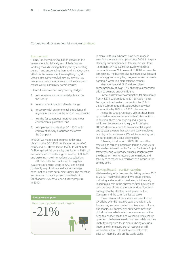Corporate and social responsibility report continued

#### Environment

Hikma, like every business, has an impact on the environment, both locally and globally. We are working towards limiting that impact by educating our staff and encouraging them to think about their effect on the environment in everything they do. We are also actively exploring ways in which we can reduce carbon emissions across the Group and reduce waste, particularly harmful waste.

Hikma's Environmental Policy five key pledges:

- 1. to integrate our environmental policy across the Group;
- 2. to reduce our impact on climate change;
- 3. to comply with environmental legislation and regulation in every country in which we operate;
- 4. to strive for continuous improvement in our environmental protection; and
- 5. to implement and develop ISO 14001 or its equivalent at every production site across the Company.

In 2008, we made good progress in this area, obtaining the ISO 14001 certification at our AMC facility and our Hikma Jordan facility. In 2009, both facilities gained the continuity certificate. In 2010, we are committed to continuing our work on ISO 14001 and exploring more international accreditations.

GRI data collection continued to heighten awareness of energy usage in 2009 and helped to identify ways to drive a reduction in energy consumption across our business units. The collection and analysis of data improved considerably in 2009 and we expect to report further progress in 2010.

## Diesel consumption decreased in Algeria  $-21\%$ **Energy consumption**

In many units, real advances have been made in energy and water consumption since 2008. In Algeria, electricity consumption fell 11% year on year from 1.5 million KWh to 1.3 million KWh while diesel consumption was 21% lower at 57,000 litres over the same period. The business also intends to drive forward a more aggressive recycling programme and incinerate hazardous waste in a more effective manner.

Hikma Jordan and AMC reduced diesel consumption by at least 10%, thanks to a concerted effort to be more energy efficient.

Hikma Jordan's water consumption fell dramatically, from 44,674 cubic metres to 27,168 cubic metres, Portugal reduced water consumption by 15% to 74,431 cubic metres and Saudi Arabia cut water consumption by 16% to 47,430 cubic metres.

Across the Group, Company vehicles have been upgraded to more environmentally efficient options. In addition, there is an ongoing and regularly reinforced awareness campaign, which stresses Hikma's desire to reduce its environmental impact and stresses the part that each and every employee can play in this endeavour. We will be reporting back on our progress to all our stakeholders.

Following initial work in 2009, Hikma will be assessing its carbon emissions in Jordan during 2010. This analysis is based on the Carbon Disclosure Project framework and will provide valuable insights across the Group on how to measure our emissions and take steps to reduce our emissions as a Group in the coming years.

#### Moving forward – our five-year plan

We have designed a five-year plan taking us from 2010 to 2015. This revolves around two broad themes, wellbeing and education. Wellbeing is intrinsically linked to our role in the pharmaceutical industry and our core duty of care to those around us. Education is integral to the effective development of the Company and the communities we serve.

These themes will be a reference point for our CR efforts over the next five years and within this framework, we have created four key areas of focus: our people, our community, our environment and global welfare, which reflects our awareness of the need to enhance health and wellbeing wherever we operate and wherever we do business. While we have implicitly recognised these areas as being of crucial importance in the past, explicit recognition will, we believe, allow us to reinforce our efforts to drive CR internally and on the world stage.